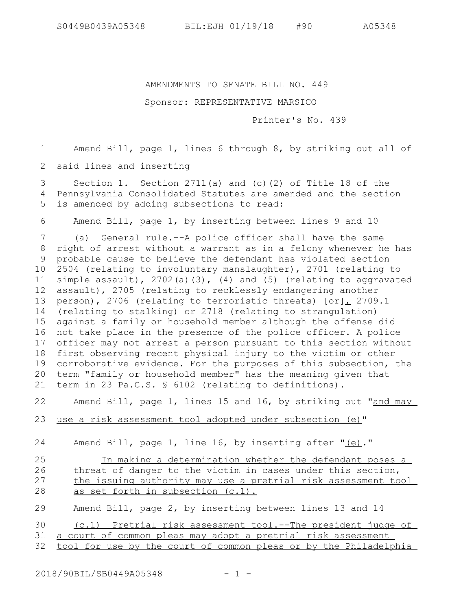## AMENDMENTS TO SENATE BILL NO. 449

## Sponsor: REPRESENTATIVE MARSICO

Printer's No. 439

Amend Bill, page 1, lines 6 through 8, by striking out all of 1

said lines and inserting 2

Section 1. Section 2711(a) and (c)(2) of Title 18 of the Pennsylvania Consolidated Statutes are amended and the section is amended by adding subsections to read: 3 4 5

Amend Bill, page 1, by inserting between lines 9 and 10 6

(a) General rule.--A police officer shall have the same right of arrest without a warrant as in a felony whenever he has 9 probable cause to believe the defendant has violated section 2504 (relating to involuntary manslaughter), 2701 (relating to simple assault), 2702(a)(3), (4) and (5) (relating to aggravated assault), 2705 (relating to recklessly endangering another person), 2706 (relating to terroristic threats) [or], 2709.1 (relating to stalking) or 2718 (relating to strangulation) against a family or household member although the offense did 16 not take place in the presence of the police officer. A police officer may not arrest a person pursuant to this section without 18 first observing recent physical injury to the victim or other corroborative evidence. For the purposes of this subsection, the term "family or household member" has the meaning given that term in 23 Pa.C.S. § 6102 (relating to definitions). 7 8 10 11 12 13 14 15 17 19 20 21

Amend Bill, page 1, lines 15 and 16, by striking out "and may 22

 use a risk assessment tool adopted under subsection (e)" 23

Amend Bill, page 1, line 16, by inserting after "(e)." 24

## In making a determination whether the defendant poses a threat of danger to the victim in cases under this section, the issuing authority may use a pretrial risk assessment tool as set forth in subsection (c.1). 25 26 27 28

Amend Bill, page 2, by inserting between lines 13 and 14 29

(c.1) Pretrial risk assessment tool.--The president judge of a court of common pleas may adopt a pretrial risk assessment 30 31

tool for use by the court of common pleas or by the Philadelphia 32